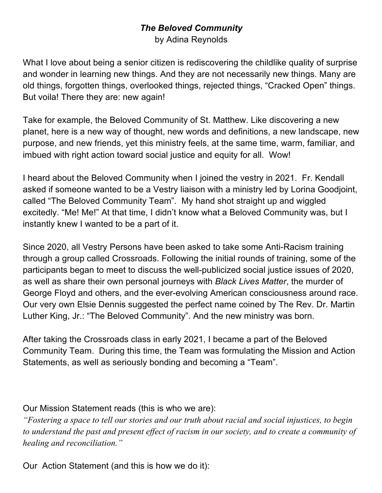## *The Beloved Community*

by Adina Reynolds

What I love about being a senior citizen is rediscovering the childlike quality of surprise and wonder in learning new things. And they are not necessarily new things. Many are old things, forgotten things, overlooked things, rejected things, "Cracked Open" things. But voila! There they are: new again!

Take for example, the Beloved Community of St. Matthew. Like discovering a new planet, here is a new way of thought, new words and definitions, a new landscape, new purpose, and new friends, yet this ministry feels, at the same time, warm, familiar, and imbued with right action toward social justice and equity for all. Wow!

I heard about the Beloved Community when I joined the vestry in 2021. Fr. Kendall asked if someone wanted to be a Vestry liaison with a ministry led by Lorina Goodjoint, called "The Beloved Community Team". My hand shot straight up and wiggled excitedly. "Me! Me!" At that time, I didn't know what a Beloved Community was, but I instantly knew I wanted to be a part of it.

Since 2020, all Vestry Persons have been asked to take some Anti-Racism training through a group called Crossroads. Following the initial rounds of training, some of the participants began to meet to discuss the well-publicized social justice issues of 2020, as well as share their own personal journeys with *Black Lives Matter*, the murder of George Floyd and others, and the ever-evolving American consciousness around race. Our very own Elsie Dennis suggested the perfect name coined by The Rev. Dr. Martin Luther King, Jr.: "The Beloved Community". And the new ministry was born.

After taking the Crossroads class in early 2021, I became a part of the Beloved Community Team. During this time, the Team was formulating the Mission and Action Statements, as well as seriously bonding and becoming a "Team".

Our Mission Statement reads (this is who we are):

*"Fostering a space to tell our stories and our truth about racial and social injustices, to begin to understand the past and present effect of racism in our society, and to create a community of healing and reconciliation."*

Our Action Statement (and this is how we do it):